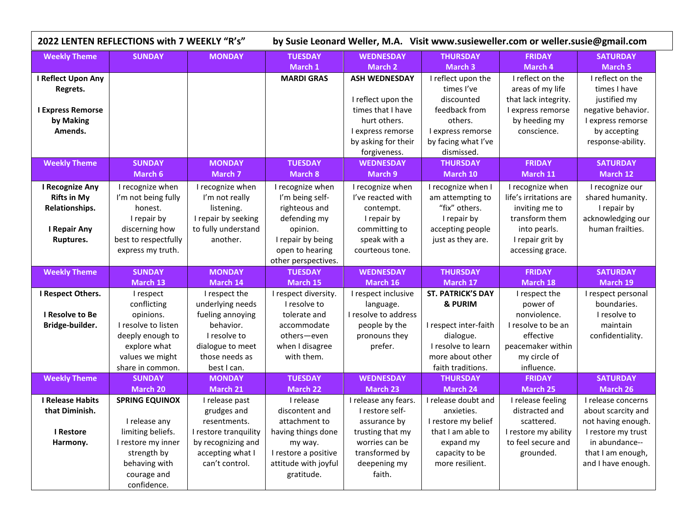| 2022 LENTEN REFLECTIONS with 7 WEEKLY "R's"                                                 |                                                                                                                                                     |                                                                                                                                                     | by Susie Leonard Weller, M.A. Visit www.susieweller.com or weller.susie@gmail.com                                                               |                                                                                                                                                        |                                                                                                                                                        |                                                                                                                                             |                                                                                                                                                   |  |
|---------------------------------------------------------------------------------------------|-----------------------------------------------------------------------------------------------------------------------------------------------------|-----------------------------------------------------------------------------------------------------------------------------------------------------|-------------------------------------------------------------------------------------------------------------------------------------------------|--------------------------------------------------------------------------------------------------------------------------------------------------------|--------------------------------------------------------------------------------------------------------------------------------------------------------|---------------------------------------------------------------------------------------------------------------------------------------------|---------------------------------------------------------------------------------------------------------------------------------------------------|--|
| <b>Weekly Theme</b>                                                                         | <b>SUNDAY</b>                                                                                                                                       | <b>MONDAY</b>                                                                                                                                       | <b>TUESDAY</b>                                                                                                                                  | <b>WEDNESDAY</b>                                                                                                                                       | <b>THURSDAY</b>                                                                                                                                        | <b>FRIDAY</b>                                                                                                                               | <b>SATURDAY</b>                                                                                                                                   |  |
| I Reflect Upon Any<br>Regrets.<br><b>I Express Remorse</b><br>by Making<br>Amends.          |                                                                                                                                                     |                                                                                                                                                     | March 1<br><b>MARDI GRAS</b>                                                                                                                    | March 2<br><b>ASH WEDNESDAY</b><br>I reflect upon the<br>times that I have<br>hurt others.<br>I express remorse<br>by asking for their<br>forgiveness. | <b>March 3</b><br>I reflect upon the<br>times I've<br>discounted<br>feedback from<br>others.<br>I express remorse<br>by facing what I've<br>dismissed. | March 4<br>I reflect on the<br>areas of my life<br>that lack integrity.<br>I express remorse<br>by heeding my<br>conscience.                | March 5<br>I reflect on the<br>times I have<br>justified my<br>negative behavior.<br>I express remorse<br>by accepting<br>response-ability.       |  |
| <b>Weekly Theme</b>                                                                         | <b>SUNDAY</b><br>March 6                                                                                                                            | <b>MONDAY</b><br><b>March 7</b>                                                                                                                     | <b>TUESDAY</b><br>March 8                                                                                                                       | <b>WEDNESDAY</b><br>March 9                                                                                                                            | <b>THURSDAY</b><br>March 10                                                                                                                            | <b>FRIDAY</b><br>March 11                                                                                                                   | <b>SATURDAY</b><br>March 12                                                                                                                       |  |
| <b>I Recognize Any</b><br><b>Rifts in My</b><br>Relationships.<br>I Repair Any<br>Ruptures. | I recognize when<br>I'm not being fully<br>honest.<br>I repair by<br>discerning how<br>best to respectfully<br>express my truth.                    | I recognize when<br>I'm not really<br>listening.<br>I repair by seeking<br>to fully understand<br>another.                                          | I recognize when<br>I'm being self-<br>righteous and<br>defending my<br>opinion.<br>I repair by being<br>open to hearing<br>other perspectives. | I recognize when<br>I've reacted with<br>contempt.<br>I repair by<br>committing to<br>speak with a<br>courteous tone.                                  | I recognize when I<br>am attempting to<br>"fix" others.<br>I repair by<br>accepting people<br>just as they are.                                        | I recognize when<br>life's irritations are<br>inviting me to<br>transform them<br>into pearls.<br>I repair grit by<br>accessing grace.      | I recognize our<br>shared humanity.<br>I repair by<br>acknowledging our<br>human frailties.                                                       |  |
| <b>Weekly Theme</b>                                                                         | <b>SUNDAY</b>                                                                                                                                       | <b>MONDAY</b>                                                                                                                                       | <b>TUESDAY</b>                                                                                                                                  | <b>WEDNESDAY</b>                                                                                                                                       | <b>THURSDAY</b>                                                                                                                                        | <b>FRIDAY</b>                                                                                                                               | <b>SATURDAY</b>                                                                                                                                   |  |
| I Respect Others.<br>I Resolve to Be<br>Bridge-builder.                                     | March 13<br>I respect<br>conflicting<br>opinions.<br>I resolve to listen<br>deeply enough to<br>explore what<br>values we might<br>share in common. | March 14<br>I respect the<br>underlying needs<br>fueling annoying<br>behavior.<br>I resolve to<br>dialogue to meet<br>those needs as<br>best I can. | March 15<br>I respect diversity.<br>I resolve to<br>tolerate and<br>accommodate<br>others-even<br>when I disagree<br>with them.                 | March 16<br>I respect inclusive<br>language.<br>I resolve to address<br>people by the<br>pronouns they<br>prefer.                                      | March 17<br><b>ST. PATRICK'S DAY</b><br>& PURIM<br>I respect inter-faith<br>dialogue.<br>I resolve to learn<br>more about other<br>faith traditions.   | March 18<br>I respect the<br>power of<br>nonviolence.<br>I resolve to be an<br>effective<br>peacemaker within<br>my circle of<br>influence. | March 19<br>I respect personal<br>boundaries.<br>I resolve to<br>maintain<br>confidentiality.                                                     |  |
| <b>Weekly Theme</b>                                                                         | <b>SUNDAY</b><br><b>March 20</b>                                                                                                                    | <b>MONDAY</b><br>March 21                                                                                                                           | <b>TUESDAY</b><br><b>March 22</b>                                                                                                               | <b>WEDNESDAY</b><br><b>March 23</b>                                                                                                                    | <b>THURSDAY</b><br><b>March 24</b>                                                                                                                     | <b>FRIDAY</b><br>March 25                                                                                                                   | <b>SATURDAY</b><br>March 26                                                                                                                       |  |
| <b>I Release Habits</b><br>that Diminish.<br>I Restore<br>Harmony.                          | <b>SPRING EQUINOX</b><br>I release any<br>limiting beliefs.<br>I restore my inner<br>strength by<br>behaving with<br>courage and<br>confidence.     | I release past<br>grudges and<br>resentments.<br>I restore tranquility<br>by recognizing and<br>accepting what I<br>can't control.                  | I release<br>discontent and<br>attachment to<br>having things done<br>my way.<br>I restore a positive<br>attitude with joyful<br>gratitude.     | I release any fears.<br>I restore self-<br>assurance by<br>trusting that my<br>worries can be<br>transformed by<br>deepening my<br>faith.              | I release doubt and<br>anxieties.<br>I restore my belief<br>that I am able to<br>expand my<br>capacity to be<br>more resilient.                        | I release feeling<br>distracted and<br>scattered.<br>I restore my ability<br>to feel secure and<br>grounded.                                | I release concerns<br>about scarcity and<br>not having enough.<br>I restore my trust<br>in abundance--<br>that I am enough,<br>and I have enough. |  |